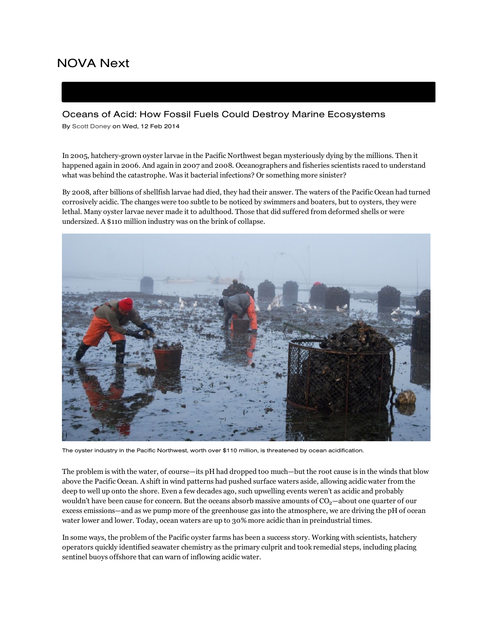# [N](http://www.pbs.org/wgbh/nova/)OVA Next

## Oceans of Acid: How Fossil Fuels Could Destroy Marine Ecosystems

By Scott [Doney](http://www.pbs.org/wgbh/nova/next/author/scott-doney/) on Wed, 12 Feb 2014

In 2005, hatchery-grown oyster larvae in the Pacific Northwest began mysteriously dying by the millions. Then it happened again in 2006. And again in 2007 and 2008. Oceanographers and fisheries scientists raced to understand what was behind the catastrophe. Was it bacterial infections? Or something more sinister?

By 2008, after billions of shellfish larvae had died, they had their answer. The waters of the Pacific Ocean had turned corrosively acidic. The changes were too subtle to be noticed by swimmers and boaters, but to oysters, they were lethal. Many oyster larvae never made it to adulthood. Those that did suffered from deformed shells or were undersized. A \$110 million industry was on the brink of collapse.



The oyster industry in the Pacific Northwest, worth over \$110 million, is threatened by ocean acidification.

The problem is with the water, of course—its pH had dropped too much—but the root cause is in the winds that blow above the Pacific Ocean. A shift in wind patterns had pushed surface waters aside, allowing acidic water from the deep to well up onto the shore. Even a few decades ago, such upwelling events weren't as acidic and probably wouldn't have been cause for concern. But the oceans absorb massive amounts of  $\rm CO_2-$ about one quarter of our excess emissions—and as we pump more of the greenhouse gas into the atmosphere, we are driving the pH of ocean water lower and lower. Today, ocean waters are up to 30% more acidic than in preindustrial times.

In some ways, the problem of the Pacific oyster farms has been a success story. Working with scientists, hatchery operators quickly identified seawater chemistry as the primary culprit and took remedial steps, including placing sentinel buoys offshore that can warn of inflowing acidic water.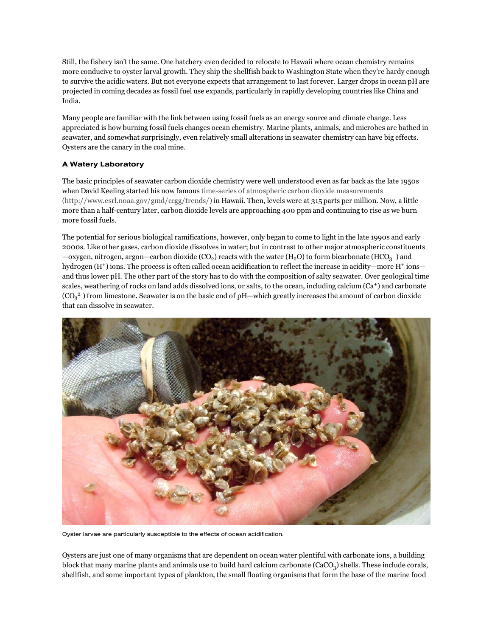Still, the fishery isn't the same. One hatchery even decided to relocate to Hawaii where ocean chemistry remains more conducive to oyster larval growth. They ship the shellfish back to Washington State when they're hardy enough to survive the acidic waters. But not everyone expects that arrangement to last forever. Larger drops in ocean pH are projected in coming decades as fossil fuel use expands, particularly in rapidly developing countries like China and India.

Many people are familiar with the link between using fossil fuels as an energy source and climate change. Less appreciated is how burning fossil fuels changes ocean chemistry. Marine plants, animals, and microbes are bathed in seawater, and somewhat surprisingly, even relatively small alterations in seawater chemistry can have big effects. Oysters are the canary in the coal mine.

### A Watery Laboratory

The basic principles of seawater carbon dioxide chemistry were well understood even as far back as the late 1950s when David Keeling started his now famous time-series of atmospheric carbon dioxide measurements [\(http://www.esrl.noaa.gov/gmd/ccgg/trends/\)](http://www.esrl.noaa.gov/gmd/ccgg/trends/) in Hawaii. Then, levels were at 315 parts per million. Now, a little more than a half-century later, carbon dioxide levels are approaching 400 ppm and continuing to rise as we burn more fossil fuels.

The potential for serious biological ramifications, however, only began to come to light in the late 1990s and early 2000s. Like other gases, carbon dioxide dissolves in water; but in contrast to other major atmospheric constituents  $-\alpha$ xygen, nitrogen, argon—carbon dioxide (CO<sub>2</sub>) reacts with the water (H<sub>2</sub>O) to form bicarbonate (HCO<sub>3</sub><sup>-</sup>) and hydrogen  $(H^+)$  ions. The process is often called ocean acidification to reflect the increase in acidity—more  $H^+$  ions and thus lower pH. The other part of the story has to do with the composition of salty seawater. Over geological time scales, weathering of rocks on land adds dissolved ions, or salts, to the ocean, including calcium  $(Ca<sup>+</sup>)$  and carbonate  $(CO_3^2)$  from limestone. Seawater is on the basic end of pH—which greatly increases the amount of carbon dioxide that can dissolve in seawater.



Oyster larvae are particularly susceptible to the effects of ocean acidification.

Oysters are just one of many organisms that are dependent on ocean water plentiful with carbonate ions, a building block that many marine plants and animals use to build hard calcium carbonate (CaCO<sub>3</sub>) shells. These include corals, shellfish, and some important types of plankton, the small floating organisms that form the base of the marine food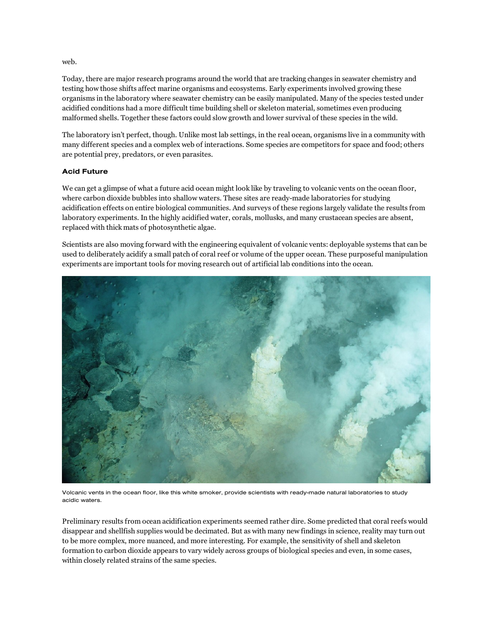#### web.

Today, there are major research programs around the world that are tracking changes in seawater chemistry and testing how those shifts affect marine organisms and ecosystems. Early experiments involved growing these organisms in the laboratory where seawater chemistry can be easily manipulated. Many of the species tested under acidified conditions had a more difficult time building shell or skeleton material, sometimes even producing malformed shells. Together these factors could slow growth and lower survival of these species in the wild.

The laboratory isn't perfect, though. Unlike most lab settings, in the real ocean, organisms live in a community with many different species and a complex web of interactions. Some species are competitors for space and food; others are potential prey, predators, or even parasites.

#### Acid Future

We can get a glimpse of what a future acid ocean might look like by traveling to volcanic vents on the ocean floor, where carbon dioxide bubbles into shallow waters. These sites are ready-made laboratories for studying acidification effects on entire biological communities. And surveys of these regions largely validate the results from laboratory experiments. In the highly acidified water, corals, mollusks, and many crustacean species are absent, replaced with thick mats of photosynthetic algae.

Scientists are also moving forward with the engineering equivalent of volcanic vents: deployable systems that can be used to deliberately acidify a small patch of coral reef or volume of the upper ocean. These purposeful manipulation experiments are important tools for moving research out of artificial lab conditions into the ocean.



Volcanic vents in the ocean floor, like this white smoker, provide scientists with ready-made natural laboratories to study acidic waters.

Preliminary results from ocean acidification experiments seemed rather dire. Some predicted that coral reefs would disappear and shellfish supplies would be decimated. But as with many new findings in science, reality may turn out to be more complex, more nuanced, and more interesting. For example, the sensitivity of shell and skeleton formation to carbon dioxide appears to vary widely across groups of biological species and even, in some cases, within closely related strains of the same species.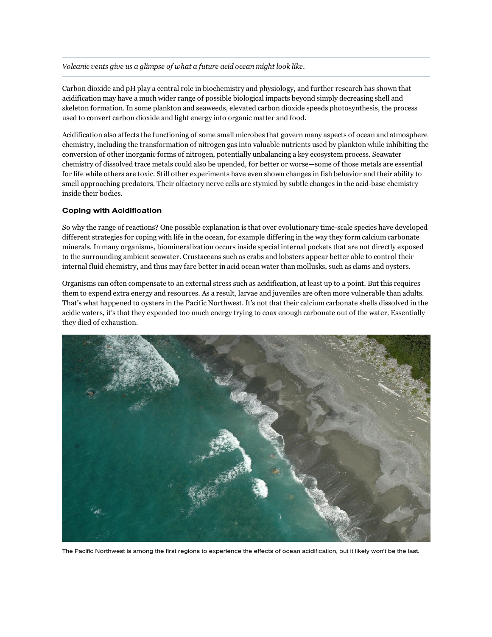#### Volcanic vents give us a glimpse of what a future acid ocean might look like.

Carbon dioxide and pH play a central role in biochemistry and physiology, and further research has shown that acidification may have a much wider range of possible biological impacts beyond simply decreasing shell and skeleton formation. In some plankton and seaweeds, elevated carbon dioxide speeds photosynthesis, the process used to convert carbon dioxide and light energy into organic matter and food.

Acidification also affects the functioning of some small microbes that govern many aspects of ocean and atmosphere chemistry, including the transformation of nitrogen gas into valuable nutrients used by plankton while inhibiting the conversion of other inorganic forms of nitrogen, potentially unbalancing a key ecosystem process. Seawater chemistry of dissolved trace metals could also be upended, for better or worse—some of those metals are essential for life while others are toxic. Still other experiments have even shown changes in fish behavior and their ability to smell approaching predators. Their olfactory nerve cells are stymied by subtle changes in the acid-base chemistry inside their bodies.

#### Coping with Acidification

So why the range of reactions? One possible explanation is that over evolutionary timescale species have developed different strategies for coping with life in the ocean, for example differing in the way they form calcium carbonate minerals. In many organisms, biomineralization occurs inside special internal pockets that are not directly exposed to the surrounding ambient seawater. Crustaceans such as crabs and lobsters appear better able to control their internal fluid chemistry, and thus may fare better in acid ocean water than mollusks, such as clams and oysters.

Organisms can often compensate to an external stress such as acidification, at least up to a point. But this requires them to expend extra energy and resources. As a result, larvae and juveniles are often more vulnerable than adults. That's what happened to oysters in the Pacific Northwest. It's not that their calcium carbonate shells dissolved in the acidic waters, it's that they expended too much energy trying to coax enough carbonate out of the water. Essentially they died of exhaustion.



The Pacific Northwest is among the first regions to experience the effects of ocean acidification, but it likely won't be the last.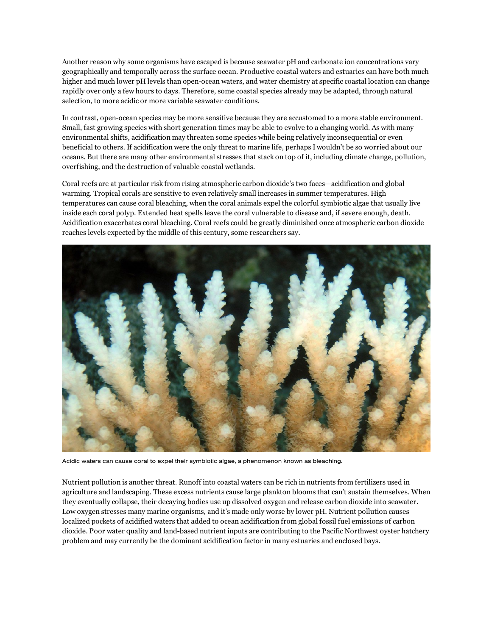Another reason why some organisms have escaped is because seawater pH and carbonate ion concentrations vary geographically and temporally across the surface ocean. Productive coastal waters and estuaries can have both much higher and much lower pH levels than open-ocean waters, and water chemistry at specific coastal location can change rapidly over only a few hours to days. Therefore, some coastal species already may be adapted, through natural selection, to more acidic or more variable seawater conditions.

In contrast, open-ocean species may be more sensitive because they are accustomed to a more stable environment. Small, fast growing species with short generation times may be able to evolve to a changing world. As with many environmental shifts, acidification may threaten some species while being relatively inconsequential or even beneficial to others. If acidification were the only threat to marine life, perhaps I wouldn't be so worried about our oceans. But there are many other environmental stresses that stack on top of it, including climate change, pollution, overfishing, and the destruction of valuable coastal wetlands.

Coral reefs are at particular risk from rising atmospheric carbon dioxide's two faces—acidification and global warming. Tropical corals are sensitive to even relatively small increases in summer temperatures. High temperatures can cause coral bleaching, when the coral animals expel the colorful symbiotic algae that usually live inside each coral polyp. Extended heat spells leave the coral vulnerable to disease and, if severe enough, death. Acidification exacerbates coral bleaching. Coral reefs could be greatly diminished once atmospheric carbon dioxide reaches levels expected by the middle of this century, some researchers say.



Acidic waters can cause coral to expel their symbiotic algae, a phenomenon known as bleaching.

Nutrient pollution is another threat. Runoff into coastal waters can be rich in nutrients from fertilizers used in agriculture and landscaping. These excess nutrients cause large plankton blooms that can't sustain themselves. When they eventually collapse, their decaying bodies use up dissolved oxygen and release carbon dioxide into seawater. Low oxygen stresses many marine organisms, and it's made only worse by lower pH. Nutrient pollution causes localized pockets of acidified waters that added to ocean acidification from global fossil fuel emissions of carbon dioxide. Poor water quality and land-based nutrient inputs are contributing to the Pacific Northwest oyster hatchery problem and may currently be the dominant acidification factor in many estuaries and enclosed bays.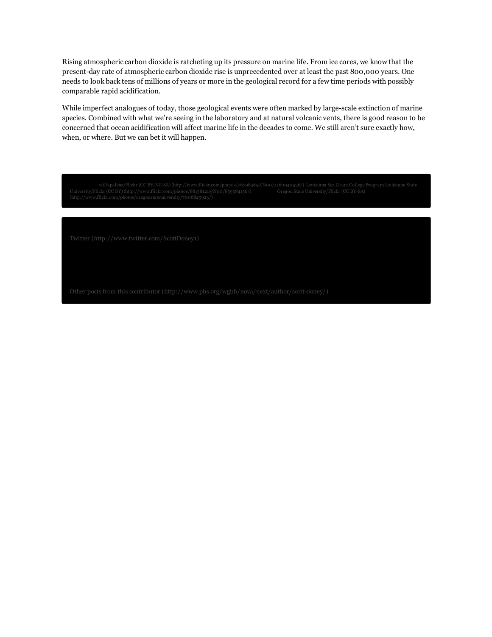Rising atmospheric carbon dioxide is ratcheting up its pressure on marine life. From ice cores, we know that the present-day rate of atmospheric carbon dioxide rise is unprecedented over at least the past 800,000 years. One needs to look back tens of millions of years or more in the geological record for a few time periods with possibly comparable rapid acidification.

While imperfect analogues of today, those geological events were often marked by large-scale extinction of marine species. Combined with what we're seeing in the laboratory and at natural volcanic vents, there is good reason to be concerned that ocean acidification will affect marine life in the decades to come. We still aren't sure exactly how, when, or where. But we can bet it will happen.